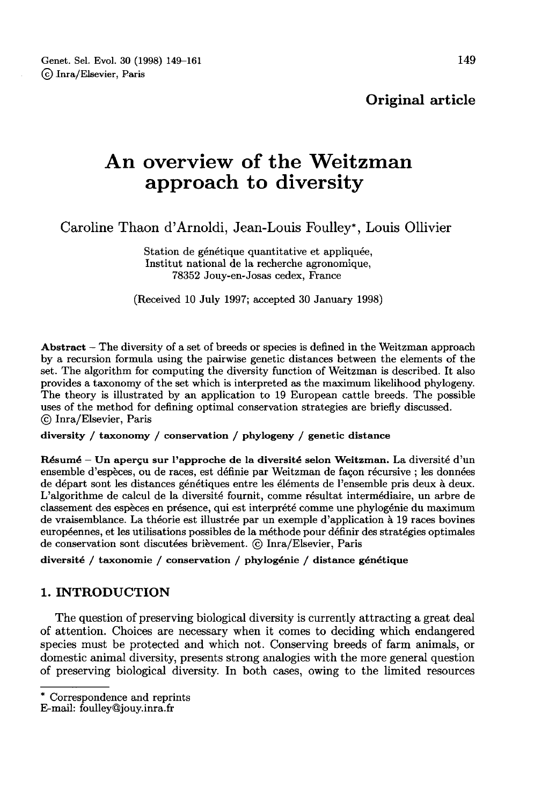Original article

# An overview of the Weitzman approach to diversity

Caroline Thaon d'Arnoldi, Jean-Louis Foulley\* Louis Ollivier

Station de génétique quantitative et appliquée, Institut national de la recherche agronomique, 78352 Jouy-en-Josas cedex, France

(Received 10 July 1997; accepted 30 January 1998)

Abstract - The diversity of a set of breeds or species is defined in the Weitzman approach by a recursion formula using the pairwise genetic distances between the elements of the set. The algorithm for computing the diversity function of Weitzman is described. It also provides a taxonomy of the set which is interpreted as the maximum likelihood phylogeny. uses of the method for defining optimal conservation strategies are briefly discussed. © Inra/Elsevier, Paris

diversity / taxonomy / conservation / phylogeny / genetic distance

Résumé - Un aperçu sur l'approche de la diversité selon Weitzman. La diversité d'un ensemble d'espèces, ou de races, est définie par Weitzman de façon récursive ; les données de départ sont les distances génétiques entre les éléments de l'ensemble pris deux à deux. L'algorithme de calcul de la diversité fournit, comme résultat intermédiaire, un arbre de classement des espèces en présence, qui est interprété comme une phylogénie du maximum de vraisemblance. La théorie est illustrée par un exemple d'application à 19 races bovines européennes, et les utilisations possibles de la méthode pour définir des stratégies optimales de conservation sont discutées brièvement. © Inra/Elsevier, Paris

diversité / taxonomie / conservation / phylogénie / distance génétique

# 1. INTRODUCTION

The question of preserving biological diversity is currently attracting a great deal of attention. Choices are necessary when it comes to deciding which endangered species must be protected and which not. Conserving breeds of farm animals, or domestic animal diversity, presents strong analogies with the more general question of preserving biological diversity. In both cases, owing to the limited resources

<sup>\*</sup> Correspondence and reprints

E-mail: foulley@jouy.inra.fr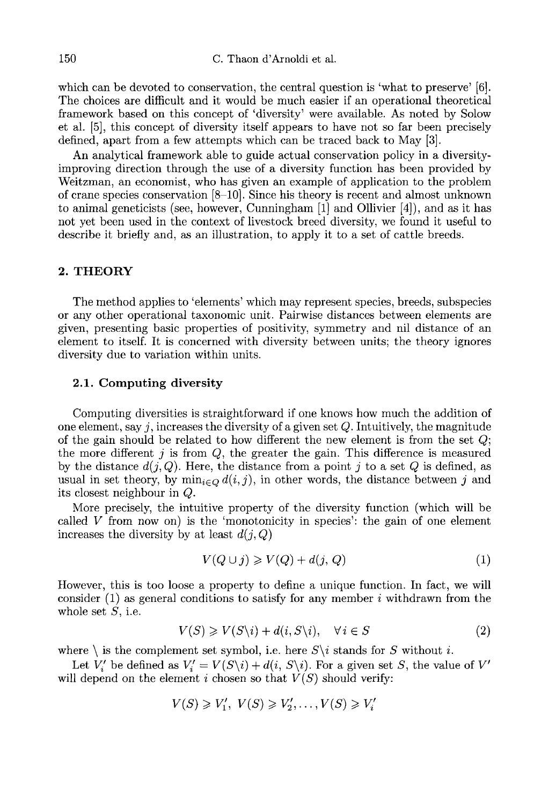which can be devoted to conservation, the central question is 'what to preserve' [6]. The choices are difficult and it would be much easier if an operational theoretical framework based on this concept of 'diversity' were available. As noted by Solow et al. [5], this concept of diversity itself appears to have not so far been precisely defined, apart from a few attempts which can be traced back to May [3].

An analytical framework able to guide actual conservation policy in a diversityimproving direction through the use of a diversity function has been provided by Weitzman, an economist, who has given an example of application to the problem of crane species conservation !8-10!. Since his theory is recent and almost unknown to animal geneticists (see, however, Cunningham  $[1]$  and Ollivier  $[4]$ ), and as it has not yet been used in the context of livestock breed diversity, we found it useful to describe it briefly and, as an illustration, to apply it to a set of cattle breeds.

# 2. THEORY

The method applies to 'elements' which may represent species, breeds, subspecies or any other operational taxonomic unit. Pairwise distances between elements are given, presenting basic properties of positivity, symmetry and nil distance of an element to itself. It is concerned with diversity between units; the theory ignores diversity due to variation within units.

# 2.1. Computing diversity

Computing diversities is straightforward if one knows how much the addition of one element, say  $j$ , increases the diversity of a given set  $Q$ . Intuitively, the magnitude of the gain should be related to how different the new element is from the set  $Q$ ; the more different j is from  $Q$ , the greater the gain. This difference is measured by the distance  $d(j, Q)$ . Here, the distance from a point j to a set Q is defined, as usual in set theory, by  $\min_{i\in Q}d(i, j)$ , in other words, the distance between j and its closest neighbour in Q.

More precisely, the intuitive property of the diversity function (which will be called  $V$  from now on) is the 'monotonicity in species': the gain of one element increases the diversity by at least  $d(j, Q)$ 

$$
V(Q \cup j) \geqslant V(Q) + d(j, Q) \tag{1}
$$

However, this is too loose a property to define a unique function. In fact, we will consider  $(1)$  as general conditions to satisfy for any member i withdrawn from the whole set  $S$ , i.e.

$$
V(S) \geqslant V(S\backslash i) + d(i, S\backslash i), \quad \forall i \in S \tag{2}
$$

where  $\setminus$  is the complement set symbol, i.e. here  $S\setminus i$  stands for S without i.

Let  $V'_i$  be defined as  $V'_i = V(S \backslash i) + d(i, S \backslash i)$ . For a given set S, the value of  $V'$ will depend on the element i chosen so that  $V(S)$  should verify:

$$
V(S) \geq V'_1, V(S) \geq V'_2, \dots, V(S) \geq V'_i
$$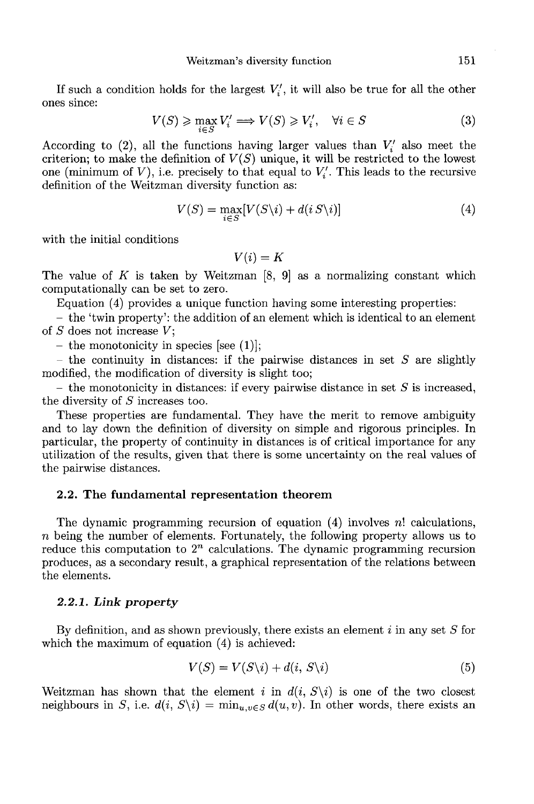If such a condition holds for the largest  $V_i'$ , it will also be true for all the other ones since:

$$
V(S) \ge \max_{i \in S} V'_i \Longrightarrow V(S) \ge V'_i, \quad \forall i \in S
$$
 (3)

According to (2), all the functions having larger values than  $V_i'$  also meet the criterion; to make the definition of  $V(S)$  unique, it will be restricted to the lowest one (minimum of  $V$ ), i.e. precisely to that equal to  $V_i'$ . This leads to the recursive definition of the Weitzman diversity function as:

$$
V(S) = \max_{i \in S} [V(S \backslash i) + d(i S \backslash i)] \tag{4}
$$

with the initial conditions

 $V(i) = K$ 

The value of K is taken by Weitzman  $[8, 9]$  as a normalizing constant which computationally can be set to zero.

Equation (4) provides a unique function having some interesting properties: - the 'twin property': the addition of an element which is identical to an element of  $S$  does not increase  $V$ ;

- the monotonicity in species [see (1)];<br>- the continuity in distances: if the pairwise distances in set S are slightly modified, the modification of diversity is slight too;

- the monotonicity in distances; if every pairwise distance in set S is increased, the diversity of S increases too.

These properties are fundamental. They have the merit to remove ambiguity and to lay down the definition of diversity on simple and rigorous principles. In particular, the property of continuity in distances is of critical importance for any utilization of the results, given that there is some uncertainty on the real values of the pairwise distances.

## 2.2. The fundamental representation theorem

The dynamic programming recursion of equation  $(4)$  involves n! calculations, n being the number of elements. Fortunately, the following property allows us to reduce this computation to  $2<sup>n</sup>$  calculations. The dynamic programming recursion produces, as a secondary result, a graphical representation of the relations between the elements.

#### 2.2.1. Link property

By definition, and as shown previously, there exists an element  $i$  in any set S for which the maximum of equation  $(4)$  is achieved:

$$
V(S) = V(S \backslash i) + d(i, S \backslash i)
$$
\n<sup>(5)</sup>

Weitzman has shown that the element i in  $d(i, S \setminus i)$  is one of the two closest  $V(S) = V(S \backslash i) + d(i, S \backslash i)$  (5)<br>Weitzman has shown that the element *i* in  $d(i, S \backslash i)$  is one of the two closest<br>neighbours in S, i.e.  $d(i, S \backslash i) = \min_{u,v \in S} d(u,v)$ . In other words, there exists an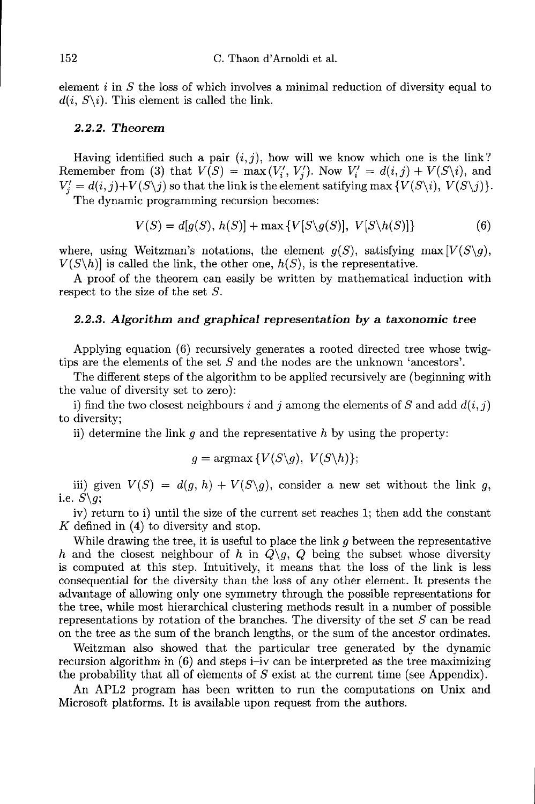element  $i$  in  $S$  the loss of which involves a minimal reduction of diversity equal to  $d(i, S\backslash i)$ . This element is called the link.

# 2.2.2. Theorem

Having identified such a pair  $(i, j)$ , how will we know which one is the link? Remember from (3) that  $V(S) = \max(V'_i, V'_i)$ . Now  $V'_i = d(i, j) + V(S \backslash i)$ , and  $V_i' = d(i, j) + V(S \backslash j)$  so that the link is the element satifying max  $\{V(S \backslash i), V(S \backslash j)\}.$ The dynamic programming recursion becomes:

> $V(S) = d[q(S), h(S)] + \max \{V[S \setminus q(S)], V[S \setminus h(S)]\}$  $(6)$

where, using Weitzman's notations, the element  $g(S)$ , satisfying max  $[V(S\gtrsim g)]$ ,  $V(S\backslash h)$  is called the link, the other one,  $h(S)$ , is the representative.

A proof of the theorem can easily be written by mathematical induction with respect to the size of the set S.

#### 2.2.3. Algorithm and graphical representation by a taxonomic tree

Applying equation (6) recursively generates a rooted directed tree whose twigtips are the elements of the set S and the nodes are the unknown 'ancestors'.

The different steps of the algorithm to be applied recursively are (beginning with the value of diversity set to zero):

i) find the two closest neighbours i and j among the elements of S and add  $d(i, j)$ to diversity;

ii) determine the link  $q$  and the representative  $h$  by using the property:

$$
g = \operatorname{argmax} \{ V(S \setminus g), V(S \setminus h) \};
$$

iii) given  $V(S) = d(g, h) + V(S\g)$ , consider a new set without the link g, i.e.  $S\setminus q$ ;

iv) return to i) until the size of the current set reaches 1; then add the constant K defined in (4) to diversity and stop.

While drawing the tree, it is useful to place the link  $g$  between the representative h and the closest neighbour of h in  $Q \gtrsim Q$  being the subset whose diversity is computed at this step. Intuitively, it means that the loss of the link is less consequential for the diversity than the loss of any other element. It presents the advantage of allowing only one symmetry through the possible representations for the tree, while most hierarchical clustering methods result in a number of possible representations by rotation of the branches. The diversity of the set S can be read on the tree as the sum of the branch lengths, or the sum of the ancestor ordinates.

Weitzman also showed that the particular tree generated by the dynamic recursion algorithm in (6) and steps i-iv can be interpreted as the tree maximizing the probability that all of elements of  $S$  exist at the current time (see Appendix).

An APL2 program has been written to run the computations on Unix and Microsoft platforms. It is available upon request from the authors.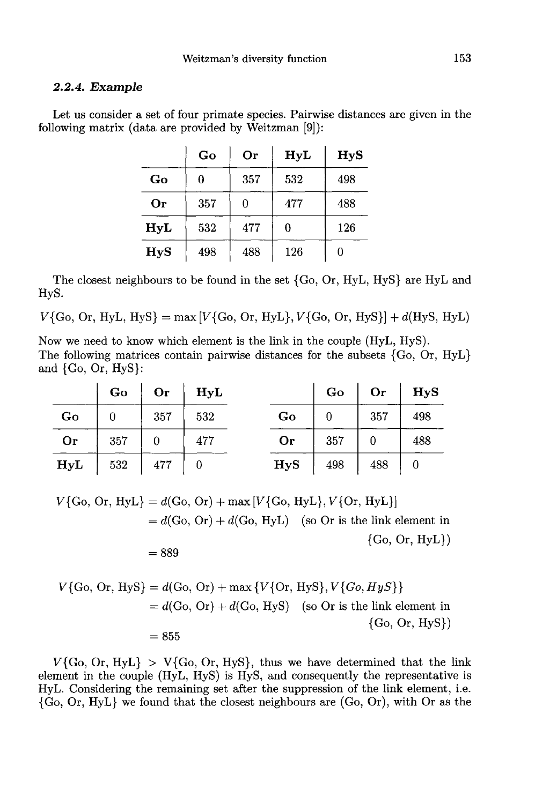#### 2.2.4. Example

Let us consider a set of four primate species. Pairwise distances are given in the following matrix (data are provided by Weitzman  $[9]$ ):

|            | Go  | Or  | HyL | <b>HyS</b> |
|------------|-----|-----|-----|------------|
| Go         | 0   | 357 | 532 | 498        |
| Or         | 357 | 0   | 477 | 488        |
| HyL        | 532 | 477 | 0   | 126        |
| <b>HyS</b> | 498 | 488 | 126 | 0          |

The closest neighbours to be found in the set {Go, Or, HyL, HyS} are HyL and HyS.

 $V\{\text{Go}, \text{Or}, \text{HyL}, \text{HyS}\} = \max[V\{\text{Go}, \text{Or}, \text{HyL}\}, V\{\text{Go}, \text{Or}, \text{HyS}\}] + d(\text{HyS}, \text{HyL})$ 

Now we need to know which element is the link in the couple (HyL, HyS). The following matrices contain pairwise distances for the subsets {Go, Or, HyL} and {Go, Or, HyS}:

|     | $Go \mid Or$ |             | $\bf{HyL}$ |              |                | $Go \mid Or \mid HyS$ |                  |
|-----|--------------|-------------|------------|--------------|----------------|-----------------------|------------------|
| Go  | $\mathbf 0$  | 357         | 532        | Go           | $\overline{0}$ | 357                   | 498              |
| Or  | 357          |             | 477        | Or           | 357            | $\bf{0}$              | 488              |
| HyL | 532          | $\vert$ 477 |            | $_{\rm HyS}$ | 498            | 488                   | $\boldsymbol{0}$ |

 $V\{\text{Go}, \text{Or}, \text{HyL}\} = d(\text{Go}, \text{Or}) + \max[V\{\text{Go}, \text{HyL}\}, V\{\text{Or}, \text{HyL}\}]$  $= d(G_O, Or) + d(G_O, HyL)$  (so Or is the link element in  $\{Go, Or, HyL\})$  $= 889$ 

$$
V\{\text{Go, Or, HyS}\} = d(\text{Go, Or}) + \max \{V\{\text{Or, HyS}\}, V\{Go, HyS\}\}
$$
  
=  $d(\text{Go, Or}) + d(\text{Go, HyS})$  (so Or is the link element in  
{Go, Or, HyS})  
= 855

 $V\{\text{Go}, \text{Or}, \text{HyL}\} > V\{\text{Go}, \text{Or}, \text{HyS}\}\$ , thus we have determined that the link element in the couple (HyL, HyS) is HyS, and consequently the representative is HyL. Considering the remaining set after the suppression of the link element, i.e. {Go, Or, HyL} we found that the closest neighbours are (Go, Or), with Or as the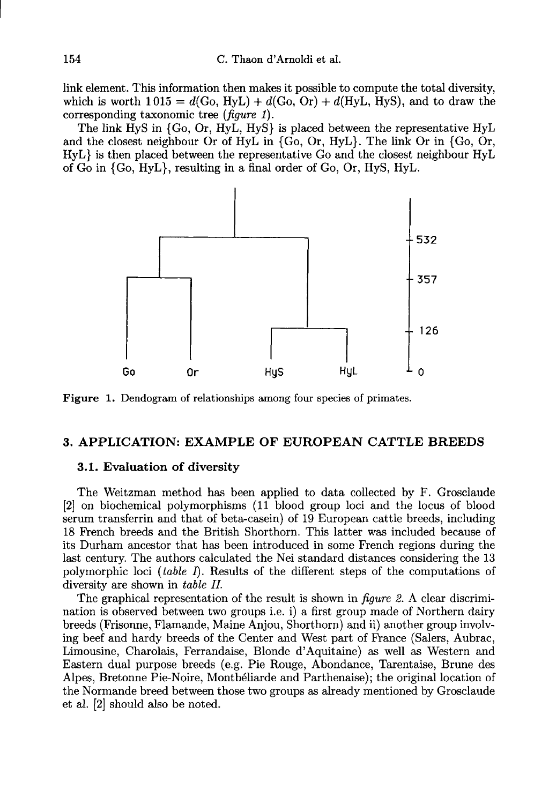link element. This information then makes it possible to compute the total diversity, which is worth  $1015 = d(G_0, HyL) + d(G_0, Or) + d(HyL, HyS)$ , and to draw the corresponding taxonomic tree (figure 1).

The link HyS in {Go, Or, HyL, HyS} is placed between the representative HyL and the closest neighbour Or of HyL in  $\{Go, Or, HyL\}$ . The link Or in  $\{Go, Or,$ HyL} is then placed between the representative Go and the closest neighbour HyL of Go in {Go, HyL}, resulting in a final order of Go, Or, HyS, HyL.



Figure 1. Dendogram of relationships among four species of primates.

# 3. APPLICATION: EXAMPLE OF EUROPEAN CATTLE BREEDS

# 3.1. Evaluation of diversity

The Weitzman method has been applied to data collected by F. Grosclaude [2] on biochemical polymorphisms (11 blood group loci and the locus of blood serum transferrin and that of beta-casein) of 19 European cattle breeds, including 18 French breeds and the British Shorthorn. This latter was included because of its Durham ancestor that has been introduced in some French regions during the last century. The authors calculated the Nei standard distances considering the 13 polymorphic loci (table 1). Results of the different steps of the computations of diversity are shown in table II.

The graphical representation of the result is shown in *figure 2*. A clear discrimination is observed between two groups i.e. i) a first group made of Northern dairy breeds (Frisonne, Flamande, Maine Anjou, Shorthorn) and ii) another group involving beef and hardy breeds of the Center and West part of France (Salers, Aubrac, Limousine, Charolais, Ferrandaise, Blonde d'Aquitaine) as well as Western and Eastern dual purpose breeds (e.g. Pie Rouge, Abondance, Tarentaise, Brune des Alpes, Bretonne Pie-Noire, Montbéliarde and Parthenaise); the original location of the Normande breed between those two groups as already mentioned by Grosclaude et al. [2] should also be noted.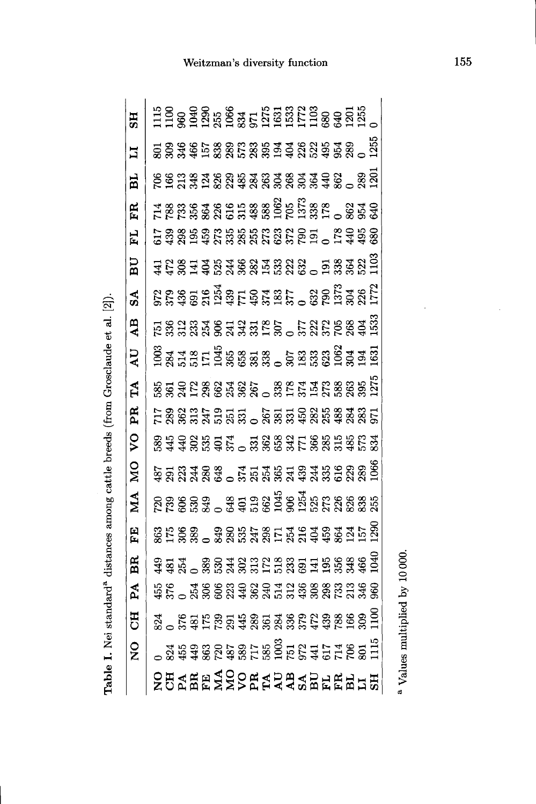|                                | $_{\mathbf{z}}^{\mathsf{o}}$                                               | HO                                                                                                                                                                                                                                                                                          | Á                          | ΒR                                             | EE                       | ÁM                                                         | QM                           | ၟ                        | ደ | ĽÁ                     | JD | AB                                          | $\mathbf{S}^{\mathbf{A}}$ | l<br>B                                                        | Ę                                                 | 모                      | ΒЬ | $\mathbf{I}$                     | <b>HS</b>                 |
|--------------------------------|----------------------------------------------------------------------------|---------------------------------------------------------------------------------------------------------------------------------------------------------------------------------------------------------------------------------------------------------------------------------------------|----------------------------|------------------------------------------------|--------------------------|------------------------------------------------------------|------------------------------|--------------------------|---|------------------------|----|---------------------------------------------|---------------------------|---------------------------------------------------------------|---------------------------------------------------|------------------------|----|----------------------------------|---------------------------|
|                                |                                                                            |                                                                                                                                                                                                                                                                                             |                            |                                                |                          |                                                            |                              |                          |   |                        |    |                                             |                           |                                                               |                                                   |                        |    |                                  |                           |
| <b>SB TEEZZSE TEER TEER 75</b> | ្នុងឆ្នូននិងនិងដូនទី១៩ អ្នក ឬ មាន<br>ប្រជាជននិងនិងដូចខ្លួន ដូច ដូច ដូច ដូច | $\frac{3}{2}$ , E $\frac{2}{3}$ , E $\frac{2}{3}$ , E $\frac{2}{3}$ , E $\frac{2}{3}$ , E $\frac{2}{3}$ , E $\frac{2}{3}$ , E $\frac{2}{3}$ , E $\frac{2}{3}$ , E $\frac{2}{3}$ , E $\frac{2}{3}$ , E $\frac{2}{3}$ , E $\frac{2}{3}$ , E $\frac{2}{3}$ , E $\frac{2}{3}$ , E $\frac{2}{3}$ | 856 - 75663393973888837396 | <del>9</del><br>육육ਲ - ※※북영음은 중 영영 국문ະ ※ ※ \$ 후 | 805880888585585588585568 | ភ្គុំ និង ទី ទី ទី ទី ទី ទី ទី ទី ទី ដូ និង ដូ និង និង និង | \$83338\$ FRA\$\$R##\$\$\$88 | 88438857 588875885885888 |   | 88182888886 8825568888 |    | F 3 3 3 3 3 5 4 3 5 5 6 6 7 3 3 5 6 3 4 5 6 |                           | <u> 국가 영국 중 영국 중 영국 영영 중 영국 중 영국 중 영국 중 정 정 정 정 정 정 정 정 영</u> | 138859628666362655 8968<br>13885968666866655 8968 | 1883838858886065386088 |    | 58 \$\$£¤ \$88 \$88 \$48 \$48 \$ | $11889888715338723831355$ |
|                                |                                                                            |                                                                                                                                                                                                                                                                                             |                            |                                                |                          |                                                            |                              |                          |   |                        |    |                                             |                           |                                                               |                                                   |                        |    |                                  |                           |
|                                |                                                                            |                                                                                                                                                                                                                                                                                             |                            |                                                |                          |                                                            |                              |                          |   |                        |    |                                             |                           |                                                               |                                                   |                        |    |                                  |                           |
|                                |                                                                            |                                                                                                                                                                                                                                                                                             |                            |                                                |                          |                                                            |                              |                          |   |                        |    |                                             |                           |                                                               |                                                   |                        |    |                                  |                           |
|                                |                                                                            |                                                                                                                                                                                                                                                                                             |                            |                                                |                          |                                                            |                              |                          |   |                        |    |                                             |                           |                                                               |                                                   |                        |    |                                  |                           |
|                                |                                                                            |                                                                                                                                                                                                                                                                                             |                            |                                                |                          |                                                            |                              |                          |   |                        |    |                                             |                           |                                                               |                                                   |                        |    |                                  |                           |
|                                |                                                                            |                                                                                                                                                                                                                                                                                             |                            |                                                |                          |                                                            |                              |                          |   |                        |    |                                             |                           |                                                               |                                                   |                        |    |                                  |                           |
|                                |                                                                            |                                                                                                                                                                                                                                                                                             |                            |                                                |                          |                                                            |                              |                          |   |                        |    |                                             |                           |                                                               |                                                   |                        |    |                                  |                           |
|                                |                                                                            |                                                                                                                                                                                                                                                                                             |                            |                                                |                          |                                                            |                              |                          |   |                        |    |                                             |                           |                                                               |                                                   |                        |    |                                  |                           |
|                                |                                                                            |                                                                                                                                                                                                                                                                                             |                            |                                                |                          |                                                            |                              |                          |   |                        |    |                                             |                           |                                                               |                                                   |                        |    |                                  |                           |
|                                |                                                                            |                                                                                                                                                                                                                                                                                             |                            |                                                |                          |                                                            |                              |                          |   |                        |    |                                             |                           |                                                               |                                                   |                        |    |                                  |                           |
|                                |                                                                            |                                                                                                                                                                                                                                                                                             |                            |                                                |                          |                                                            |                              |                          |   |                        |    |                                             |                           |                                                               |                                                   |                        |    |                                  |                           |
|                                |                                                                            |                                                                                                                                                                                                                                                                                             |                            |                                                |                          |                                                            |                              |                          |   |                        |    |                                             |                           |                                                               |                                                   |                        |    |                                  |                           |
|                                |                                                                            |                                                                                                                                                                                                                                                                                             |                            |                                                |                          |                                                            |                              |                          |   |                        |    |                                             |                           |                                                               |                                                   |                        |    |                                  |                           |
|                                |                                                                            |                                                                                                                                                                                                                                                                                             |                            |                                                |                          |                                                            |                              |                          |   |                        |    |                                             |                           |                                                               |                                                   |                        |    |                                  |                           |
|                                |                                                                            |                                                                                                                                                                                                                                                                                             |                            |                                                |                          |                                                            |                              |                          |   |                        |    |                                             |                           |                                                               |                                                   |                        |    |                                  |                           |
|                                |                                                                            |                                                                                                                                                                                                                                                                                             |                            |                                                |                          |                                                            |                              |                          |   |                        |    |                                             |                           |                                                               |                                                   |                        |    |                                  |                           |
|                                |                                                                            |                                                                                                                                                                                                                                                                                             |                            |                                                |                          |                                                            |                              |                          |   |                        |    |                                             |                           |                                                               |                                                   |                        |    |                                  |                           |

Table I. Nei standard<sup>a</sup> distances among cattle breeds (from Grosclaude et al. [2]).

 $^{\rm a}$  Values multiplied by 10 000.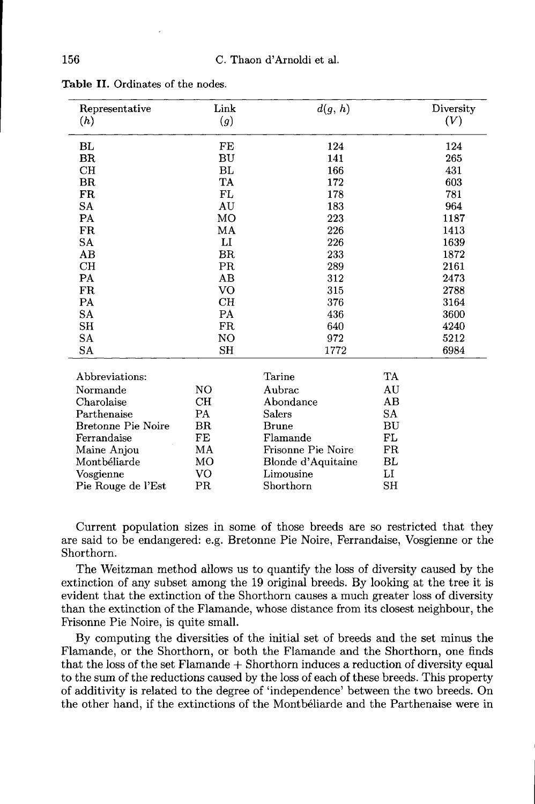| Representative            | Link                   | d(g, h)                        |                        | Diversity |
|---------------------------|------------------------|--------------------------------|------------------------|-----------|
| (h)                       | (g)                    |                                |                        | (V)       |
| BL                        | FE                     | 124                            |                        | 124       |
| $_{\rm BR}$               | BU                     | 141                            |                        | 265       |
| CH                        | BL                     | 166                            |                        | 431       |
| BR                        | TA                     | 172                            |                        | 603       |
| FR                        | FL                     | 178                            |                        | 781       |
| SA                        | AU                     | 183                            |                        | 964       |
| PA                        | MO                     | 223                            |                        | 1187      |
| <b>FR</b>                 | MA                     | 226                            |                        | 1413      |
| <b>SA</b>                 | $\mathbf{L}\mathbf{I}$ | 226                            |                        | 1639      |
| AB                        | $_{\rm BR}$            | 233                            |                        | 1872      |
| CH                        | PR                     | 289                            |                        | 2161      |
| PA                        | AВ                     | 312                            |                        | 2473      |
| FR                        | <b>VO</b>              | 315                            |                        | 2788      |
| <b>PA</b>                 | CH                     | 376                            |                        | 3164      |
| SA                        | PA                     | 436                            |                        | 3600      |
| SН                        | <b>FR</b>              | 640                            |                        | 4240      |
| SA                        | NO                     | 972                            |                        | 5212      |
| SA                        | <b>SH</b>              | 1772                           |                        | 6984      |
| Abbreviations:            |                        | Tarine                         | TA                     |           |
| $\rm Normande$            | NO                     | $\mathop{\rm Aubrac}\nolimits$ | AU                     |           |
| Charolaise                | <b>CH</b>              | $A$ bondance                   | AВ                     |           |
| Parthenaise               | PA                     | Salers                         | SA                     |           |
| <b>Bretonne Pie Noire</b> | BR                     | Brune                          | BU                     |           |
| Ferrandaise               | FE                     | Flamande                       | FL                     |           |
| Maine Anjou               | MA                     | Frisonne Pie Noire             | FR.                    |           |
| Montbéliarde              | MО                     | Blonde d'Aquitaine             | BL                     |           |
| Vosgienne                 | VO                     | Limousine                      | $\mathbf{L}\mathbf{I}$ |           |
| Pie Rouge de l'Est        | <b>PR</b>              | Shorthorn                      | SH                     |           |

Table II. Ordinates of the nodes.

Current population sizes in some of those breeds are so restricted that they are said to be endangered: e.g. Bretonne Pie Noire, Ferrandaise, Vosgienne or the Shorthorn.

The Weitzman method allows us to quantify the loss of diversity caused by the extinction of any subset among the 19 original breeds. By looking at the tree it is evident that the extinction of the Shorthorn causes a much greater loss of diversity than the extinction of the Flamande, whose distance from its closest neighbour, the Frisonne Pie Noire, is quite small.

By computing the diversities of the initial set of breeds and the set minus the Flamande, or the Shorthorn, or both the Flamande and the Shorthorn, one finds that the loss of the set Flamande + Shorthorn induces a reduction of diversity equal to the sum of the reductions caused by the loss of each of these breeds. This property of additivity is related to the degree of 'independence' between the two breeds. On the other hand, if the extinctions of the Montb6liarde and the Parthenaise were in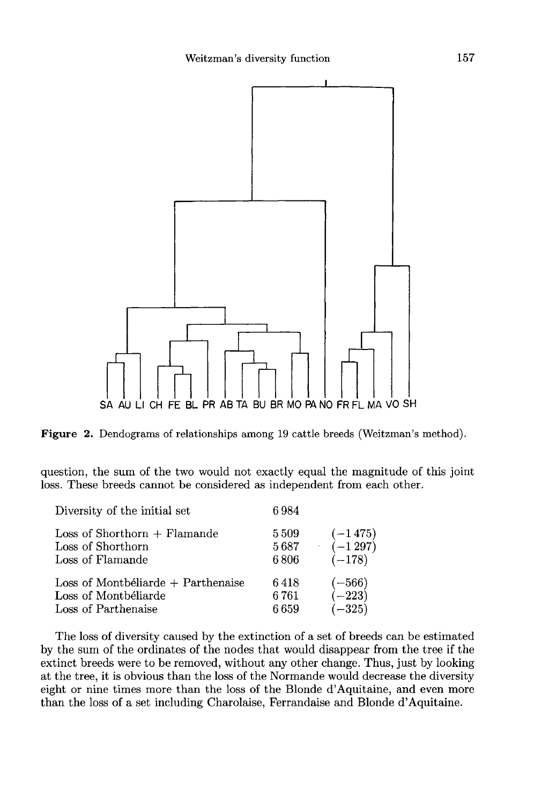

**Figure 2.** Dendograms of relationships among 19 cattle breeds (Weitzman's method).

question, the sum of the two would not exactly equal the magnitude of this joint loss. These breeds cannot be considered as independent from each other.

| Diversity of the initial set                                                        | 6 984                 |                                                               |
|-------------------------------------------------------------------------------------|-----------------------|---------------------------------------------------------------|
| $Loss of Shorthorn + Flamande$<br>Loss of Shorthorn<br>Loss of Flamande             | 5509<br>5 687<br>6806 | $\begin{array}{c} (-1475) \\ (-1297) \end{array}$<br>$(-178)$ |
| $Loss of Montbéliarde + Parthenaise$<br>Loss of Montbéliarde<br>Loss of Parthenaise | 6418<br>6761<br>6659  | $(-566)$<br>$(-223)$<br>$(-325)$                              |

The loss of diversity caused by the extinction of a set of breeds can be estimated by the sum of the ordinates of the nodes that would disappear from the tree if the extinct breeds were to be removed, without any other change. Thus, just by looking at the tree, it is obvious than the loss of the Normande would decrease the diversity eight or nine times more than the loss of the Blonde d'Aquitaine, and even more than the loss of a set including Charolaise, Ferrandaise and Blonde d'Aquitaine.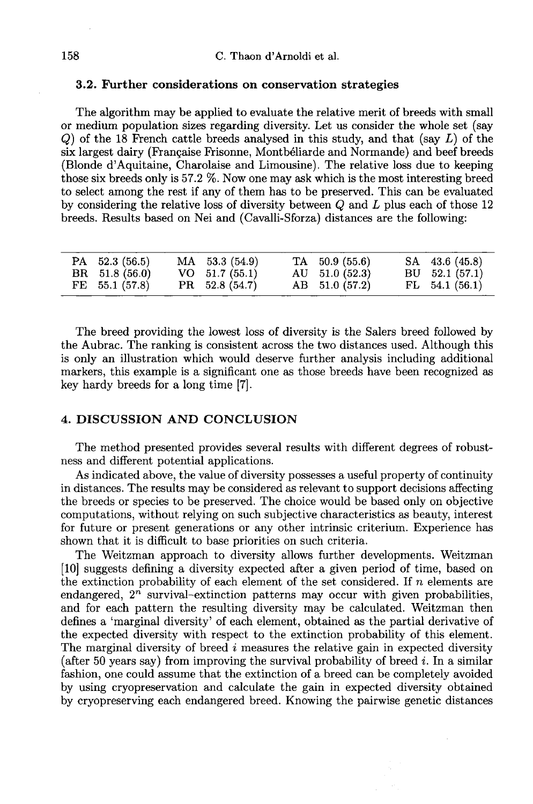#### 3.2. Further considerations on conservation strategies

The algorithm may be applied to evaluate the relative merit of breeds with small or medium population sizes regarding diversity. Let us consider the whole set (say  $Q$ ) of the 18 French cattle breeds analysed in this study, and that (say  $L$ ) of the six largest dairy (Francaise Frisonne, Montb6liarde and Normande) and beef breeds (Blonde d'Aquitaine, Charolaise and Limousine). The relative loss due to keeping those six breeds only is 57.2 %. Now one may ask which is the most interesting breed to select among the rest if any of them has to be preserved. This can be evaluated by considering the relative loss of diversity between  $Q$  and  $L$  plus each of those 12 breeds. Results based on Nei and (Cavalli-Sforza) distances are the following:

| PA 52.3 (56.5)   | MA 53.3 (54.9)   | $TA = 50.9(55.6)$ | SA 43.6 (45.8)   |
|------------------|------------------|-------------------|------------------|
| BR 51.8 (56.0)   | $VO$ 51.7 (55.1) | $AU$ 51.0 (52.3)  | BU 52.1 (57.1)   |
| $FE$ 55.1 (57.8) | PR 52.8 (54.7)   | AB 51.0 (57.2)    | $FL$ 54.1 (56.1) |

The breed providing the lowest loss of diversity is the Salers breed followed by the Aubrac. The ranking is consistent across the two distances used. Although this is only an illustration which would deserve further analysis including additional markers, this example is a significant one as those breeds have been recognized as key hardy breeds for a long time [7].

# 4. DISCUSSION AND CONCLUSION

The method presented provides several results with different degrees of robustness and different potential applications.

As indicated above, the value of diversity possesses a useful property of continuity in distances. The results may be considered as relevant to support decisions affecting the breeds or species to be preserved. The choice would be based only on objective computations, without relying on such subjective characteristics as beauty, interest for future or present generations or any other intrinsic criterium. Experience has shown that it is difficult to base priorities on such criteria.

The Weitzman approach to diversity allows further developments. Weitzman [10] suggests defining a diversity expected after a given period of time, based on the extinction probability of each element of the set considered. If  $n$  elements are endangered,  $2^n$  survival-extinction patterns may occur with given probabilities, and for each pattern the resulting diversity may be calculated. Weitzman then defines a 'marginal diversity' of each element, obtained as the partial derivative of the expected diversity with respect to the extinction probability of this element. The marginal diversity of breed i measures the relative gain in expected diversity (after 50 years say) from improving the survival probability of breed i. In a similar fashion, one could assume that the extinction of a breed can be completely avoided by using cryopreservation and calculate the gain in expected diversity obtained by cryopreserving each endangered breed. Knowing the pairwise genetic distances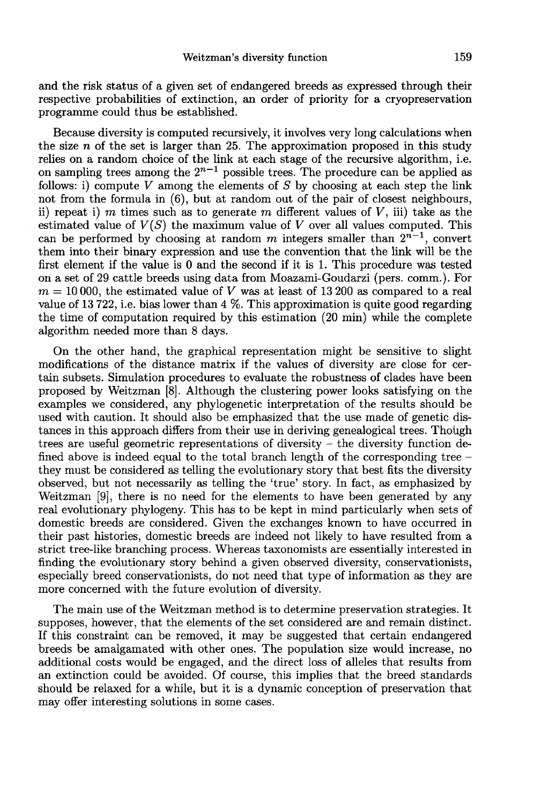and the risk status of a given set of endangered breeds as expressed through their respective probabilities of extinction, an order of priority for a cryopreservation programme could thus be established.

Because diversity is computed recursively, it involves very long calculations when the size  $n$  of the set is larger than 25. The approximation proposed in this study relies on a random choice of the link at each stage of the recursive algorithm, i.e. on sampling trees among the  $2^{n-1}$  possible trees. The procedure can be applied as follows: i) compute V among the elements of S by choosing at each step the link not from the formula in (6), but at random out of the pair of closest neighbours, ii) repeat i) m times such as to generate m different values of  $V$ , iii) take as the estimated value of  $V(S)$  the maximum value of V over all values computed. This can be performed by choosing at random m integers smaller than  $2^{n-1}$ , convert them into their binary expression and use the convention that the link will be the first element if the value is 0 and the second if it is 1. This procedure was tested on a set of 29 cattle breeds using data from Moazami-Goudarzi (pers. comm.). For  $m = 10000$ , the estimated value of V was at least of 13 200 as compared to a real value of 13 722, i.e. bias lower than 4 %. This approximation is quite good regarding the time of computation required by this estimation (20 min) while the complete algorithm needed more than 8 days.

On the other hand, the graphical representation might be sensitive to slight modifications of the distance matrix if the values of diversity are close for certain subsets. Simulation procedures to evaluate the robustness of clades have been proposed by Weitzman [8]. Although the clustering power looks satisfying on the examples we considered, any phylogenetic interpretation of the results should be used with caution. It should also be emphasized that the use made of genetic distances in this approach differs from their use in deriving genealogical trees. Though trees are useful geometric representations of diversity - the diversity function defined above is indeed equal to the total branch length of the corresponding tree they must be considered as telling the evolutionary story that best fits the diversity observed, but not necessarily as telling the 'true' story. In fact, as emphasized by Weitzman [9], there is no need for the elements to have been generated by any real evolutionary phylogeny. This has to be kept in mind particularly when sets of domestic breeds are considered. Given the exchanges known to have occurred in their past histories, domestic breeds are indeed not likely to have resulted from a strict tree-like branching process. Whereas taxonomists are essentially interested in finding the evolutionary story behind a given observed diversity, conservationists, especially breed conservationists, do not need that type of information as they are more concerned with the future evolution of diversity.

The main use of the Weitzman method is to determine preservation strategies. It supposes, however, that the elements of the set considered are and remain distinct. If this constraint can be removed, it may be suggested that certain endangered breeds be amalgamated with other ones. The population size would increase, no additional costs would be engaged, and the direct loss of alleles that results from an extinction could be avoided. Of course, this implies that the breed standards should be relaxed for a while, but it is a dynamic conception of preservation that may offer interesting solutions in some cases.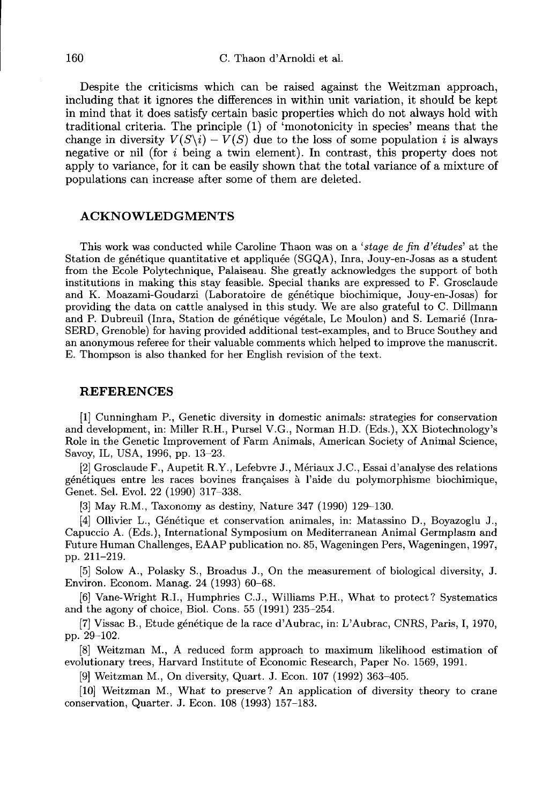C. Thaon d'Arnoldi et al.

Despite the criticisms which can be raised against the Weitzman approach, including that it ignores the differences in within unit variation, it should be kept in mind that it does satisfy certain basic properties which do not always hold with traditional criteria. The principle (1) of 'monotonicity in species' means that the change in diversity  $V(S \setminus i) - V(S)$  due to the loss of some population i is always negative or nil (for  $i$  being a twin element). In contrast, this property does not apply to variance, for it can be easily shown that the total variance of a mixture of populations can increase after some of them are deleted.

#### ACKNOWLEDGMENTS

This work was conducted while Caroline Thaon was on a 'stage de fin d'études' at the Station de génétique quantitative et appliquée (SGQA), Inra, Jouy-en-Josas as a student from the Ecole Polytechnique, Palaiseau. She greatly acknowledges the support of both institutions in making this stay feasible. Special thanks are expressed to F. Grosclaude and K. Moazami-Goudarzi (Laboratoire de génétique biochimique, Jouy-en-Josas) for providing the data on cattle analysed in this study. We are also grateful to C. Dillmann and P. Dubreuil (Inra, Station de génétique vegetale, Le Moulon) and S. Lemarié (Inra-SERD, Grenoble) for having provided additional test-examples, and to Bruce Southey and an anonymous referee for their valuable comments which helped to improve the manuscrit. E. Thompson is also thanked for her English revision of the text.

#### REFERENCES

[1] Cunningham P., Genetic diversity in domestic animals: strategies for conservation and development, in: Miller R.H., Pursel V.G., Norman H.D. (Eds.), XX Biotechnology's Role in the Genetic Improvement of Farm Animals, American Society of Animal Science, Savoy, IL, USA, 1996, pp. 13-23.

[2] Grosclaude F., Aupetit R.Y., Lefebvre J., Mériaux J.C., Essai d'analyse des relations génétiques entre les races bovines frangaises à 1'aide du polymorphisme biochimique, Genet. Sel. Evol. 22 (1990) 317-338.

[3] May R.M., Taxonomy as destiny, Nature 347 (1990) 129-130.

[4] Ollivier L., Génétique et conservation animales, in: Matassino D., Boyazoglu J., Capuccio A. (Eds.), International Symposium on Mediterranean Animal Germplasm and Future Human Challenges, EAAP publication no. 85, Wageningen Pers, Wageningen, 1997, pp. 211-219.

[5] Solow A., Polasky S., Broadus J., On the measurement of biological diversity, J. Environ. Econom. Manag. 24 (1993) 60-68.

[6] Vane-Wright R.I., Humphries C.J., Williams P.H., What to protect? Systematics and the agony of choice, Biol. Cons. 55 (1991) 235-254.

[7] Vissac B., Etude génétique de la race d'Aubrac, in: L'Aubrac, CNRS, Paris, I, 1970, pp. 29-102.

[8] Weitzman M., A reduced form approach to maximum likelihood estimation of evolutionary trees, Harvard Institute of Economic Research, Paper No. 1569, 1991.

[9] Weitzman M., On diversity, Quart. J. Econ. 107 (1992) 363-405.

[10] Weitzman M., What to preserve? An application of diversity theory to crane conservation, Quarter. J. Econ. 108 (1993) 157-183.